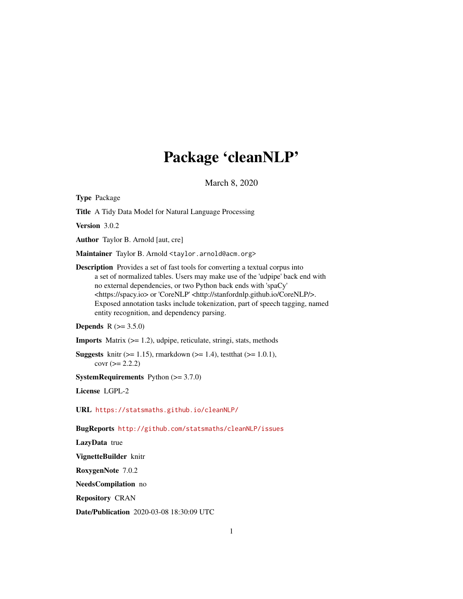# Package 'cleanNLP'

March 8, 2020

| <b>Type Package</b>                                                                                                                                                                                                                                                                                                                                                                                                                                                        |  |  |
|----------------------------------------------------------------------------------------------------------------------------------------------------------------------------------------------------------------------------------------------------------------------------------------------------------------------------------------------------------------------------------------------------------------------------------------------------------------------------|--|--|
| Title A Tidy Data Model for Natural Language Processing                                                                                                                                                                                                                                                                                                                                                                                                                    |  |  |
| Version 3.0.2                                                                                                                                                                                                                                                                                                                                                                                                                                                              |  |  |
| <b>Author</b> Taylor B. Arnold [aut, cre]                                                                                                                                                                                                                                                                                                                                                                                                                                  |  |  |
| Maintainer Taylor B. Arnold <taylor.arnold@acm.org></taylor.arnold@acm.org>                                                                                                                                                                                                                                                                                                                                                                                                |  |  |
| <b>Description</b> Provides a set of fast tools for converting a textual corpus into<br>a set of normalized tables. Users may make use of the 'udpipe' back end with<br>no external dependencies, or two Python back ends with 'spaCy'<br><https: spacy.io=""> or 'CoreNLP' <http: corenlp="" stanfordnlp.github.io=""></http:>.<br/>Exposed annotation tasks include tokenization, part of speech tagging, named<br/>entity recognition, and dependency parsing.</https:> |  |  |
| <b>Depends</b> $R (= 3.5.0)$                                                                                                                                                                                                                                                                                                                                                                                                                                               |  |  |
| <b>Imports</b> Matrix $(>= 1.2)$ , udpipe, reticulate, stringi, stats, methods                                                                                                                                                                                                                                                                                                                                                                                             |  |  |
| <b>Suggests</b> knitr ( $> = 1.15$ ), rmarkdown ( $> = 1.4$ ), test that ( $> = 1.0.1$ ),<br>$covr (= 2.2.2)$                                                                                                                                                                                                                                                                                                                                                              |  |  |
| <b>SystemRequirements</b> Python $(>= 3.7.0)$                                                                                                                                                                                                                                                                                                                                                                                                                              |  |  |
| License LGPL-2                                                                                                                                                                                                                                                                                                                                                                                                                                                             |  |  |
| URL https://statsmaths.github.io/cleanNLP/                                                                                                                                                                                                                                                                                                                                                                                                                                 |  |  |
| BugReports http://github.com/statsmaths/cleanNLP/issues                                                                                                                                                                                                                                                                                                                                                                                                                    |  |  |
| LazyData true                                                                                                                                                                                                                                                                                                                                                                                                                                                              |  |  |
| VignetteBuilder knitr                                                                                                                                                                                                                                                                                                                                                                                                                                                      |  |  |
| RoxygenNote 7.0.2                                                                                                                                                                                                                                                                                                                                                                                                                                                          |  |  |
| NeedsCompilation no                                                                                                                                                                                                                                                                                                                                                                                                                                                        |  |  |
| <b>Repository CRAN</b>                                                                                                                                                                                                                                                                                                                                                                                                                                                     |  |  |

Date/Publication 2020-03-08 18:30:09 UTC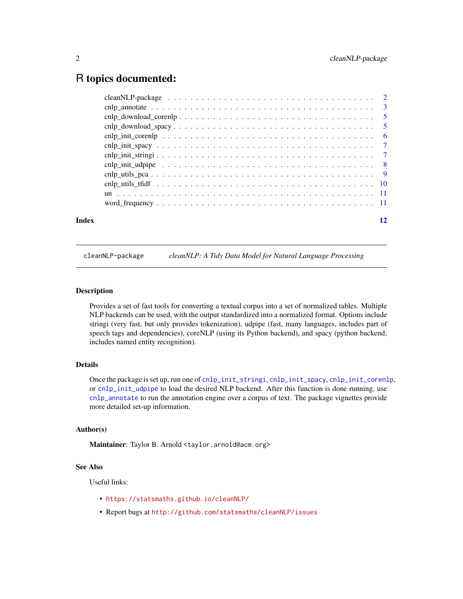# <span id="page-1-0"></span>R topics documented:

| 12 |
|----|
|    |
|    |
|    |
|    |
|    |
|    |
|    |
|    |
|    |
|    |
|    |
|    |
|    |
|    |

cleanNLP-package *cleanNLP: A Tidy Data Model for Natural Language Processing*

# Description

Provides a set of fast tools for converting a textual corpus into a set of normalized tables. Multiple NLP backends can be used, with the output standardized into a normalized format. Options include stringi (very fast, but only provides tokenization), udpipe (fast, many languages, includes part of speech tags and dependencies), coreNLP (using its Python backend), and spacy (python backend; includes named entity recognition).

#### Details

Once the package is set up, run one of [cnlp\\_init\\_stringi](#page-6-1), [cnlp\\_init\\_spacy](#page-6-2), [cnlp\\_init\\_corenlp](#page-5-1), or [cnlp\\_init\\_udpipe](#page-7-1) to load the desired NLP backend. After this function is done running, use [cnlp\\_annotate](#page-2-1) to run the annotation engine over a corpus of text. The package vignettes provide more detailed set-up information.

#### Author(s)

Maintainer: Taylor B. Arnold <taylor.arnold@acm.org>

#### See Also

Useful links:

- <https://statsmaths.github.io/cleanNLP/>
- Report bugs at <http://github.com/statsmaths/cleanNLP/issues>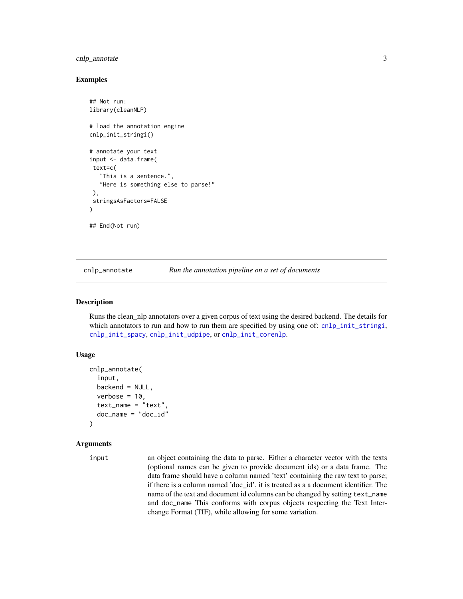# <span id="page-2-0"></span>cnlp\_annotate 3

#### Examples

```
## Not run:
library(cleanNLP)
# load the annotation engine
cnlp_init_stringi()
# annotate your text
input <- data.frame(
text=c(
   "This is a sentence.",
   "Here is something else to parse!"
),
stringsAsFactors=FALSE
)
## End(Not run)
```
<span id="page-2-1"></span>

cnlp\_annotate *Run the annotation pipeline on a set of documents*

### Description

Runs the clean\_nlp annotators over a given corpus of text using the desired backend. The details for which annotators to run and how to run them are specified by using one of: [cnlp\\_init\\_stringi](#page-6-1), [cnlp\\_init\\_spacy](#page-6-2), [cnlp\\_init\\_udpipe](#page-7-1), or [cnlp\\_init\\_corenlp](#page-5-1).

#### Usage

```
cnlp_annotate(
  input,
  backend = NULL,verbose = 10,
  text_name = "text",
  doc_name = "doc_id")
```
#### Arguments

input an object containing the data to parse. Either a character vector with the texts (optional names can be given to provide document ids) or a data frame. The data frame should have a column named 'text' containing the raw text to parse; if there is a column named 'doc\_id', it is treated as a a document identifier. The name of the text and document id columns can be changed by setting text\_name and doc\_name This conforms with corpus objects respecting the Text Interchange Format (TIF), while allowing for some variation.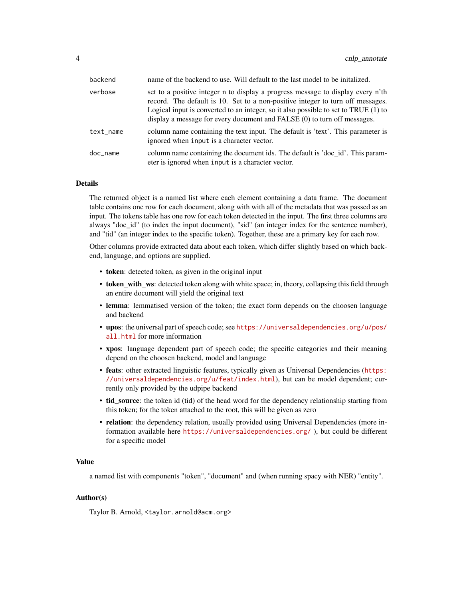| backend   | name of the backend to use. Will default to the last model to be initalized.<br>set to a positive integer n to display a progress message to display every n'th<br>record. The default is 10. Set to a non-positive integer to turn off messages.<br>Logical input is converted to an integer, so it also possible to set to $TRUE(1)$ to<br>display a message for every document and FALSE (0) to turn off messages. |  |
|-----------|-----------------------------------------------------------------------------------------------------------------------------------------------------------------------------------------------------------------------------------------------------------------------------------------------------------------------------------------------------------------------------------------------------------------------|--|
| verbose   |                                                                                                                                                                                                                                                                                                                                                                                                                       |  |
| text_name | column name containing the text input. The default is 'text'. This parameter is<br>ignored when input is a character vector.                                                                                                                                                                                                                                                                                          |  |
| doc_name  | column name containing the document ids. The default is 'doc_id'. This param-<br>eter is ignored when input is a character vector.                                                                                                                                                                                                                                                                                    |  |

#### Details

The returned object is a named list where each element containing a data frame. The document table contains one row for each document, along with with all of the metadata that was passed as an input. The tokens table has one row for each token detected in the input. The first three columns are always "doc\_id" (to index the input document), "sid" (an integer index for the sentence number), and "tid" (an integer index to the specific token). Together, these are a primary key for each row.

Other columns provide extracted data about each token, which differ slightly based on which backend, language, and options are supplied.

- token: detected token, as given in the original input
- token\_with\_ws: detected token along with white space; in, theory, collapsing this field through an entire document will yield the original text
- lemma: lemmatised version of the token; the exact form depends on the choosen language and backend
- upos: the universal part of speech code; see [https://universaldependencies.org/u/pos/](https://universaldependencies.org/u/pos/all.html) [all.html](https://universaldependencies.org/u/pos/all.html) for more information
- xpos: language dependent part of speech code; the specific categories and their meaning depend on the choosen backend, model and language
- feats: other extracted linguistic features, typically given as Universal Dependencies ([https:](https://universaldependencies.org/u/feat/index.html) [//universaldependencies.org/u/feat/index.html](https://universaldependencies.org/u/feat/index.html)), but can be model dependent; currently only provided by the udpipe backend
- tid source: the token id (tid) of the head word for the dependency relationship starting from this token; for the token attached to the root, this will be given as zero
- relation: the dependency relation, usually provided using Universal Dependencies (more information available here <https://universaldependencies.org/> ), but could be different for a specific model

# Value

a named list with components "token", "document" and (when running spacy with NER) "entity".

### Author(s)

Taylor B. Arnold, <taylor.arnold@acm.org>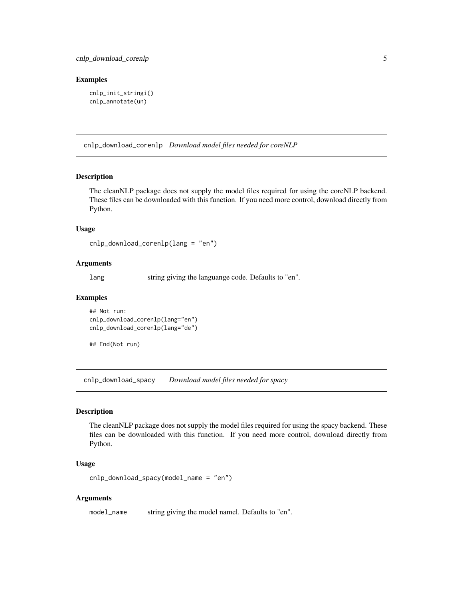#### <span id="page-4-0"></span>Examples

```
cnlp_init_stringi()
cnlp_annotate(un)
```
cnlp\_download\_corenlp *Download model files needed for coreNLP*

#### Description

The cleanNLP package does not supply the model files required for using the coreNLP backend. These files can be downloaded with this function. If you need more control, download directly from Python.

#### Usage

```
cnlp_download_corenlp(lang = "en")
```
### Arguments

lang string giving the languange code. Defaults to "en".

#### Examples

```
## Not run:
cnlp_download_corenlp(lang="en")
cnlp_download_corenlp(lang="de")
```

```
## End(Not run)
```
cnlp\_download\_spacy *Download model files needed for spacy*

# Description

The cleanNLP package does not supply the model files required for using the spacy backend. These files can be downloaded with this function. If you need more control, download directly from Python.

#### Usage

```
cnlp_download_spacy(model_name = "en")
```
#### Arguments

model\_name string giving the model namel. Defaults to "en".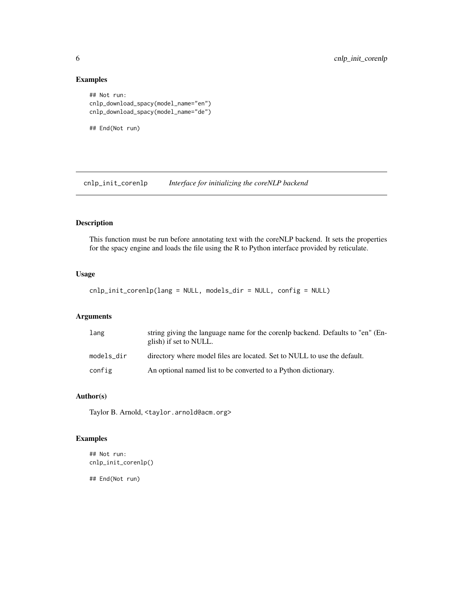# Examples

```
## Not run:
cnlp_download_spacy(model_name="en")
cnlp_download_spacy(model_name="de")
```
## End(Not run)

<span id="page-5-1"></span>cnlp\_init\_corenlp *Interface for initializing the coreNLP backend*

# Description

This function must be run before annotating text with the coreNLP backend. It sets the properties for the spacy engine and loads the file using the R to Python interface provided by reticulate.

# Usage

```
cnlp_init_corenlp(lang = NULL, models_dir = NULL, config = NULL)
```
# Arguments

| lang       | string giving the language name for the corenlp backend. Defaults to "en" (En-<br>glish) if set to NULL. |  |
|------------|----------------------------------------------------------------------------------------------------------|--|
| models dir | directory where model files are located. Set to NULL to use the default.                                 |  |
| config     | An optional named list to be converted to a Python dictionary.                                           |  |

# Author(s)

Taylor B. Arnold, <taylor.arnold@acm.org>

# Examples

```
## Not run:
cnlp_init_corenlp()
```
## End(Not run)

<span id="page-5-0"></span>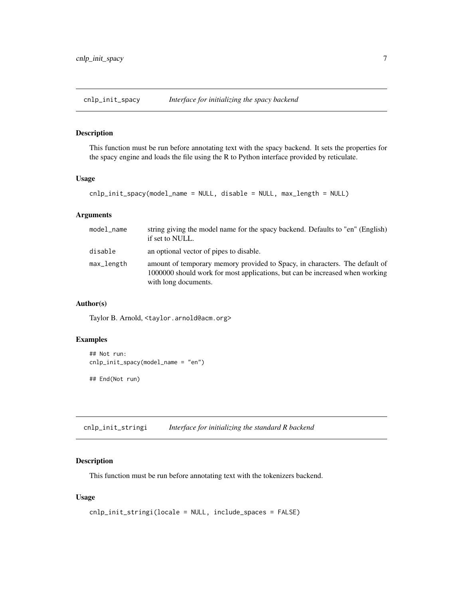<span id="page-6-2"></span><span id="page-6-0"></span>cnlp\_init\_spacy *Interface for initializing the spacy backend*

# Description

This function must be run before annotating text with the spacy backend. It sets the properties for the spacy engine and loads the file using the R to Python interface provided by reticulate.

# Usage

```
cnlp_init_spacy(model_name = NULL, disable = NULL, max_length = NULL)
```
#### Arguments

| model name | string giving the model name for the spacy backend. Defaults to "en" (English)<br>if set to NULL.                                                                                   |
|------------|-------------------------------------------------------------------------------------------------------------------------------------------------------------------------------------|
| disable    | an optional vector of pipes to disable.                                                                                                                                             |
| max_length | amount of temporary memory provided to Spacy, in characters. The default of<br>1000000 should work for most applications, but can be increased when working<br>with long documents. |

# Author(s)

Taylor B. Arnold, <taylor.arnold@acm.org>

#### Examples

```
## Not run:
cnlp_init_spacy(model_name = "en")
## End(Not run)
```
<span id="page-6-1"></span>cnlp\_init\_stringi *Interface for initializing the standard R backend*

# **Description**

This function must be run before annotating text with the tokenizers backend.

### Usage

```
cnlp_init_stringi(locale = NULL, include_spaces = FALSE)
```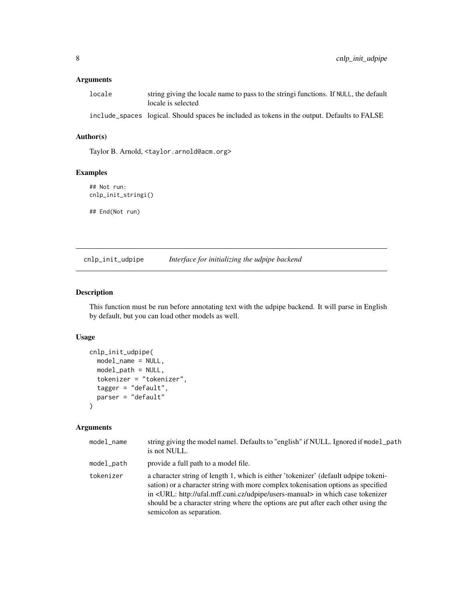# <span id="page-7-0"></span>Arguments

| locale | string giving the locale name to pass to the string functions. If NULL, the default<br>locale is selected |
|--------|-----------------------------------------------------------------------------------------------------------|
|        | include spaces logical. Should spaces be included as tokens in the output. Defaults to FALSE              |

#### Author(s)

Taylor B. Arnold, <taylor.arnold@acm.org>

# Examples

```
## Not run:
cnlp_init_stringi()
```
## End(Not run)

<span id="page-7-1"></span>cnlp\_init\_udpipe *Interface for initializing the udpipe backend*

### Description

This function must be run before annotating text with the udpipe backend. It will parse in English by default, but you can load other models as well.

# Usage

```
cnlp_init_udpipe(
 model_name = NULL,
 model_path = NULL,
  tokenizer = "tokenizer",
  tagger = "default",
 parser = "default"
)
```
#### Arguments

| model_name                                                                                                                                                                                                                                                                                                                                                                                                  | string giving the model namel. Defaults to "english" if NULL. Ignored if model_path<br>is not NULL. |
|-------------------------------------------------------------------------------------------------------------------------------------------------------------------------------------------------------------------------------------------------------------------------------------------------------------------------------------------------------------------------------------------------------------|-----------------------------------------------------------------------------------------------------|
| model_path                                                                                                                                                                                                                                                                                                                                                                                                  | provide a full path to a model file.                                                                |
| a character string of length 1, which is either 'tokenizer' (default udpipe tokeni-<br>tokenizer<br>sation) or a character string with more complex tokenisation options as specified<br>in <url: http:="" udpipe="" ufal.mff.cuni.cz="" users-manual=""> in which case tokenizer<br/>should be a character string where the options are put after each other using the<br/>semicolon as separation.</url:> |                                                                                                     |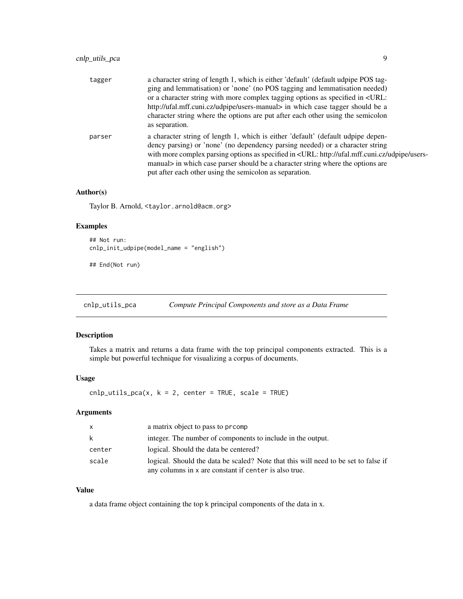<span id="page-8-0"></span>

| tagger | a character string of length 1, which is either 'default' (default udpipe POS tag-<br>ging and lemmatisation) or 'none' (no POS tagging and lemmatisation needed)<br>or a character string with more complex tagging options as specified in <url:<br>http://ufal.mff.cuni.cz/udpipe/users-manual&gt; in which case tagger should be a<br/>character string where the options are put after each other using the semicolon<br/>as separation.</url:<br> |
|--------|---------------------------------------------------------------------------------------------------------------------------------------------------------------------------------------------------------------------------------------------------------------------------------------------------------------------------------------------------------------------------------------------------------------------------------------------------------|
| parser | a character string of length 1, which is either 'default' (default udpipe depen-<br>dency parsing) or 'none' (no dependency parsing needed) or a character string<br>with more complex parsing options as specified in <url: http:="" udpipe="" ufal.mff.cuni.cz="" users-<br="">manual&gt; in which case parser should be a character string where the options are<br/>put after each other using the semicolon as separation.</url:>                  |

# Author(s)

Taylor B. Arnold, <taylor.arnold@acm.org>

# Examples

```
## Not run:
cnlp_init_udpipe(model_name = "english")
```
## End(Not run)

cnlp\_utils\_pca *Compute Principal Components and store as a Data Frame*

# Description

Takes a matrix and returns a data frame with the top principal components extracted. This is a simple but powerful technique for visualizing a corpus of documents.

# Usage

 $cnlp\_utils_pca(x, k = 2, center = TRUE, scale = TRUE)$ 

#### Arguments

| $\mathsf{x}$ | a matrix object to pass to promp                                                                                                            |  |
|--------------|---------------------------------------------------------------------------------------------------------------------------------------------|--|
| k            | integer. The number of components to include in the output.                                                                                 |  |
| center       | logical. Should the data be centered?                                                                                                       |  |
| scale        | logical. Should the data be scaled? Note that this will need to be set to false if<br>any columns in x are constant if center is also true. |  |

# Value

a data frame object containing the top k principal components of the data in x.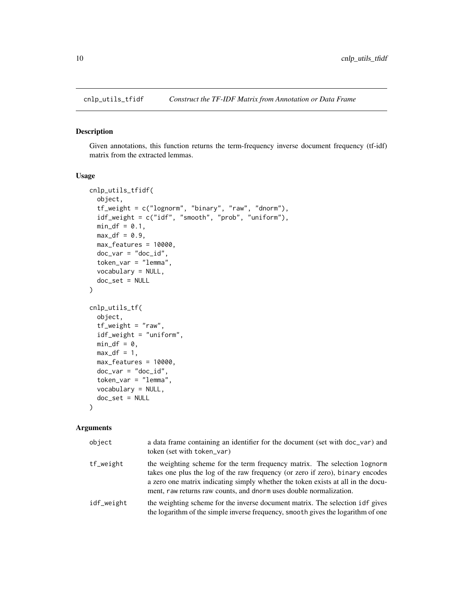<span id="page-9-0"></span>

#### Description

Given annotations, this function returns the term-frequency inverse document frequency (tf-idf) matrix from the extracted lemmas.

# Usage

```
cnlp_utils_tfidf(
  object,
  tf_weight = c("lognorm", "binary", "raw", "dnorm"),
  idf_weight = c("idf", "smooth", "prob", "uniform"),
 min_d f = 0.1,
 max_d = 0.9,
  max_features = 10000,
  doc\_var = "doc_id",token_var = "lemma",
  vocabulary = NULL,
  doc_set = NULL
)
cnlp_utils_tf(
  object,
  tf<sub>-</sub>weight = "raw",
  idf_weight = "uniform",
  min_d f = 0,
 max_d = 1,
 max_features = 10000,
  doc\_var = "doc_id",token_var = "lemma",
  vocabulary = NULL,
  doc_set = NULL
```

```
)
```
# Arguments

| object     | a data frame containing an identifier for the document (set with doc_var) and<br>token (set with token_var)                                                                                                                                                                                                          |  |
|------------|----------------------------------------------------------------------------------------------------------------------------------------------------------------------------------------------------------------------------------------------------------------------------------------------------------------------|--|
| tf_weight  | the weighting scheme for the term frequency matrix. The selection lognorm<br>takes one plus the log of the raw frequency (or zero if zero), binary encodes<br>a zero one matrix indicating simply whether the token exists at all in the docu-<br>ment, raw returns raw counts, and dnorm uses double normalization. |  |
| idf_weight | the weighting scheme for the inverse document matrix. The selection idf gives<br>the logarithm of the simple inverse frequency, smooth gives the logarithm of one                                                                                                                                                    |  |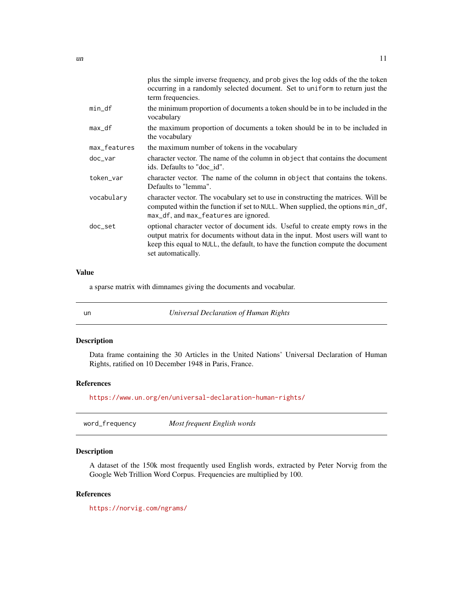<span id="page-10-0"></span>

|              | plus the simple inverse frequency, and prob gives the log odds of the the token<br>occurring in a randomly selected document. Set to uniform to return just the<br>term frequencies.                                                                                     |  |
|--------------|--------------------------------------------------------------------------------------------------------------------------------------------------------------------------------------------------------------------------------------------------------------------------|--|
| $min_d$      | the minimum proportion of documents a token should be in to be included in the<br>vocabulary                                                                                                                                                                             |  |
| $max_d$      | the maximum proportion of documents a token should be in to be included in<br>the vocabulary                                                                                                                                                                             |  |
| max_features | the maximum number of tokens in the vocabulary                                                                                                                                                                                                                           |  |
| $doc_var$    | character vector. The name of the column in object that contains the document<br>ids. Defaults to "doc id".                                                                                                                                                              |  |
| token_var    | character vector. The name of the column in object that contains the tokens.<br>Defaults to "lemma".                                                                                                                                                                     |  |
| vocabulary   | character vector. The vocabulary set to use in constructing the matrices. Will be<br>computed within the function if set to NULL. When supplied, the options min_df,<br>max_df, and max_features are ignored.                                                            |  |
| $doc_set$    | optional character vector of document ids. Useful to create empty rows in the<br>output matrix for documents without data in the input. Most users will want to<br>keep this equal to NULL, the default, to have the function compute the document<br>set automatically. |  |

#### Value

a sparse matrix with dimnames giving the documents and vocabular.

un *Universal Declaration of Human Rights*

# Description

Data frame containing the 30 Articles in the United Nations' Universal Declaration of Human Rights, ratified on 10 December 1948 in Paris, France.

#### References

<https://www.un.org/en/universal-declaration-human-rights/>

| word_frequency | Most frequent English words |  |
|----------------|-----------------------------|--|
|----------------|-----------------------------|--|

# Description

A dataset of the 150k most frequently used English words, extracted by Peter Norvig from the Google Web Trillion Word Corpus. Frequencies are multiplied by 100.

# References

<https://norvig.com/ngrams/>